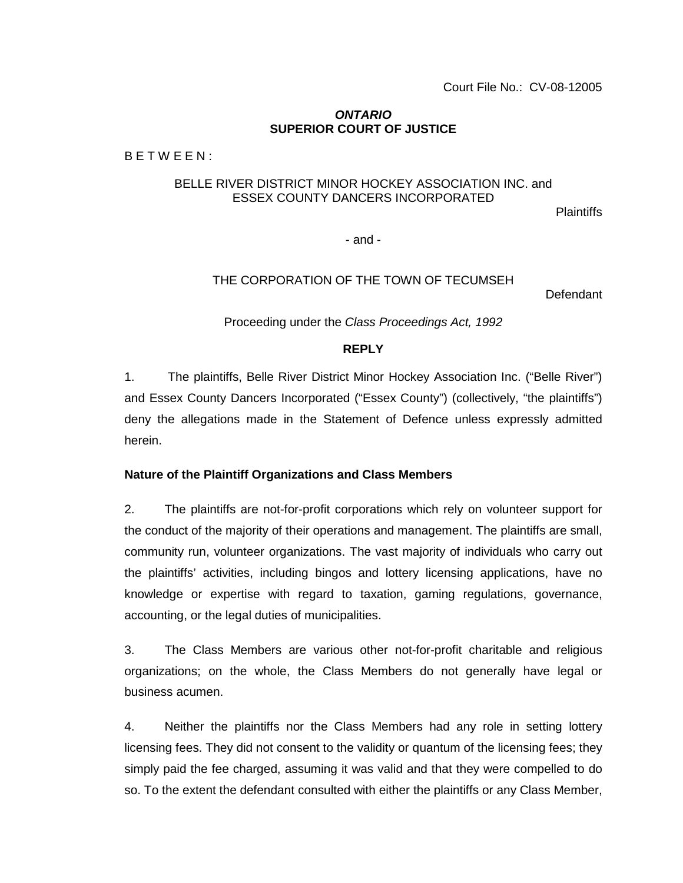### *ONTARIO* **SUPERIOR COURT OF JUSTICE**

B E T W E E N :

# BELLE RIVER DISTRICT MINOR HOCKEY ASSOCIATION INC. and ESSEX COUNTY DANCERS INCORPORATED

Plaintiffs

- and -

## THE CORPORATION OF THE TOWN OF TECUMSEH

Defendant

Proceeding under the *Class Proceedings Act, 1992*

## **REPLY**

1. The plaintiffs, Belle River District Minor Hockey Association Inc. ("Belle River") and Essex County Dancers Incorporated ("Essex County") (collectively, "the plaintiffs") deny the allegations made in the Statement of Defence unless expressly admitted herein.

### **Nature of the Plaintiff Organizations and Class Members**

2. The plaintiffs are not-for-profit corporations which rely on volunteer support for the conduct of the majority of their operations and management. The plaintiffs are small, community run, volunteer organizations. The vast majority of individuals who carry out the plaintiffs' activities, including bingos and lottery licensing applications, have no knowledge or expertise with regard to taxation, gaming regulations, governance, accounting, or the legal duties of municipalities.

3. The Class Members are various other not-for-profit charitable and religious organizations; on the whole, the Class Members do not generally have legal or business acumen.

4. Neither the plaintiffs nor the Class Members had any role in setting lottery licensing fees. They did not consent to the validity or quantum of the licensing fees; they simply paid the fee charged, assuming it was valid and that they were compelled to do so. To the extent the defendant consulted with either the plaintiffs or any Class Member,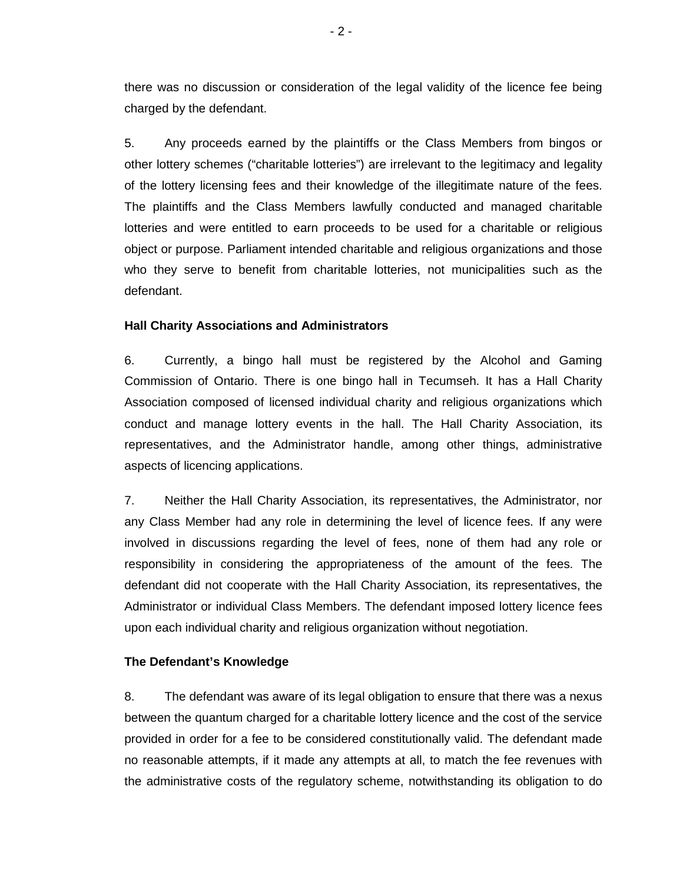there was no discussion or consideration of the legal validity of the licence fee being charged by the defendant.

5. Any proceeds earned by the plaintiffs or the Class Members from bingos or other lottery schemes ("charitable lotteries") are irrelevant to the legitimacy and legality of the lottery licensing fees and their knowledge of the illegitimate nature of the fees. The plaintiffs and the Class Members lawfully conducted and managed charitable lotteries and were entitled to earn proceeds to be used for a charitable or religious object or purpose. Parliament intended charitable and religious organizations and those who they serve to benefit from charitable lotteries, not municipalities such as the defendant.

## **Hall Charity Associations and Administrators**

6. Currently, a bingo hall must be registered by the Alcohol and Gaming Commission of Ontario. There is one bingo hall in Tecumseh. It has a Hall Charity Association composed of licensed individual charity and religious organizations which conduct and manage lottery events in the hall. The Hall Charity Association, its representatives, and the Administrator handle, among other things, administrative aspects of licencing applications.

7. Neither the Hall Charity Association, its representatives, the Administrator, nor any Class Member had any role in determining the level of licence fees. If any were involved in discussions regarding the level of fees, none of them had any role or responsibility in considering the appropriateness of the amount of the fees. The defendant did not cooperate with the Hall Charity Association, its representatives, the Administrator or individual Class Members. The defendant imposed lottery licence fees upon each individual charity and religious organization without negotiation.

### **The Defendant's Knowledge**

8. The defendant was aware of its legal obligation to ensure that there was a nexus between the quantum charged for a charitable lottery licence and the cost of the service provided in order for a fee to be considered constitutionally valid. The defendant made no reasonable attempts, if it made any attempts at all, to match the fee revenues with the administrative costs of the regulatory scheme, notwithstanding its obligation to do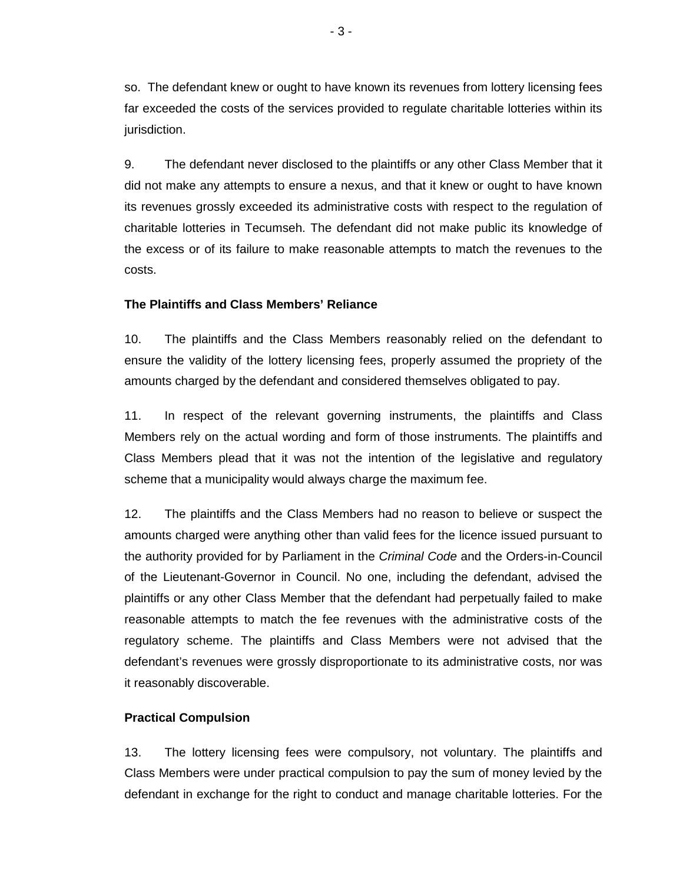so. The defendant knew or ought to have known its revenues from lottery licensing fees far exceeded the costs of the services provided to regulate charitable lotteries within its jurisdiction.

9. The defendant never disclosed to the plaintiffs or any other Class Member that it did not make any attempts to ensure a nexus, and that it knew or ought to have known its revenues grossly exceeded its administrative costs with respect to the regulation of charitable lotteries in Tecumseh. The defendant did not make public its knowledge of the excess or of its failure to make reasonable attempts to match the revenues to the costs.

## **The Plaintiffs and Class Members' Reliance**

10. The plaintiffs and the Class Members reasonably relied on the defendant to ensure the validity of the lottery licensing fees, properly assumed the propriety of the amounts charged by the defendant and considered themselves obligated to pay.

11. In respect of the relevant governing instruments, the plaintiffs and Class Members rely on the actual wording and form of those instruments. The plaintiffs and Class Members plead that it was not the intention of the legislative and regulatory scheme that a municipality would always charge the maximum fee.

12. The plaintiffs and the Class Members had no reason to believe or suspect the amounts charged were anything other than valid fees for the licence issued pursuant to the authority provided for by Parliament in the *Criminal Code* and the Orders-in-Council of the Lieutenant-Governor in Council. No one, including the defendant, advised the plaintiffs or any other Class Member that the defendant had perpetually failed to make reasonable attempts to match the fee revenues with the administrative costs of the regulatory scheme. The plaintiffs and Class Members were not advised that the defendant's revenues were grossly disproportionate to its administrative costs, nor was it reasonably discoverable.

## **Practical Compulsion**

13. The lottery licensing fees were compulsory, not voluntary. The plaintiffs and Class Members were under practical compulsion to pay the sum of money levied by the defendant in exchange for the right to conduct and manage charitable lotteries. For the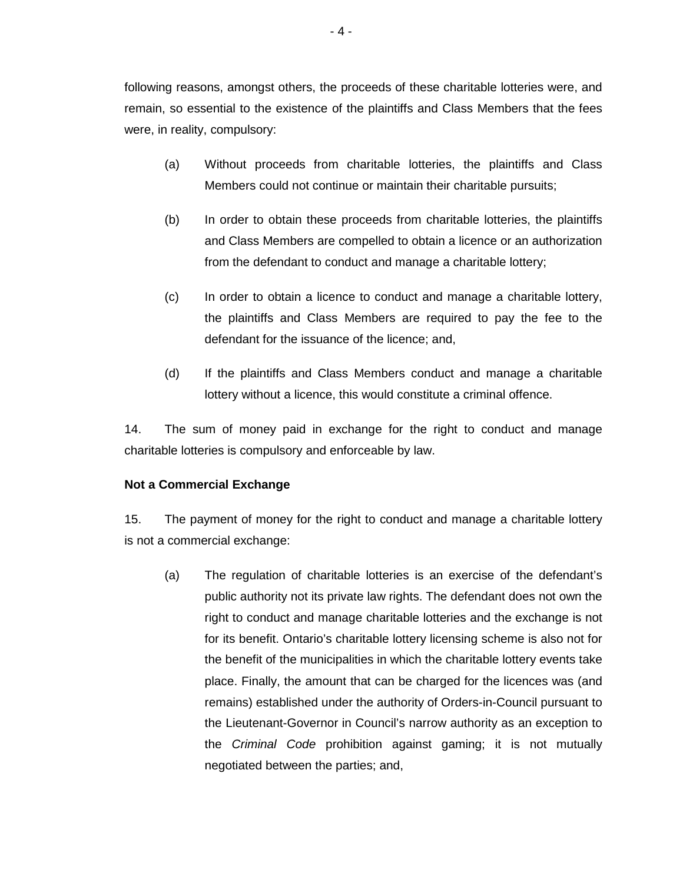following reasons, amongst others, the proceeds of these charitable lotteries were, and remain, so essential to the existence of the plaintiffs and Class Members that the fees were, in reality, compulsory:

- (a) Without proceeds from charitable lotteries, the plaintiffs and Class Members could not continue or maintain their charitable pursuits;
- (b) In order to obtain these proceeds from charitable lotteries, the plaintiffs and Class Members are compelled to obtain a licence or an authorization from the defendant to conduct and manage a charitable lottery;
- (c) In order to obtain a licence to conduct and manage a charitable lottery, the plaintiffs and Class Members are required to pay the fee to the defendant for the issuance of the licence; and,
- (d) If the plaintiffs and Class Members conduct and manage a charitable lottery without a licence, this would constitute a criminal offence.

14. The sum of money paid in exchange for the right to conduct and manage charitable lotteries is compulsory and enforceable by law.

## **Not a Commercial Exchange**

15. The payment of money for the right to conduct and manage a charitable lottery is not a commercial exchange:

(a) The regulation of charitable lotteries is an exercise of the defendant's public authority not its private law rights. The defendant does not own the right to conduct and manage charitable lotteries and the exchange is not for its benefit. Ontario's charitable lottery licensing scheme is also not for the benefit of the municipalities in which the charitable lottery events take place. Finally, the amount that can be charged for the licences was (and remains) established under the authority of Orders-in-Council pursuant to the Lieutenant-Governor in Council's narrow authority as an exception to the *Criminal Code* prohibition against gaming; it is not mutually negotiated between the parties; and,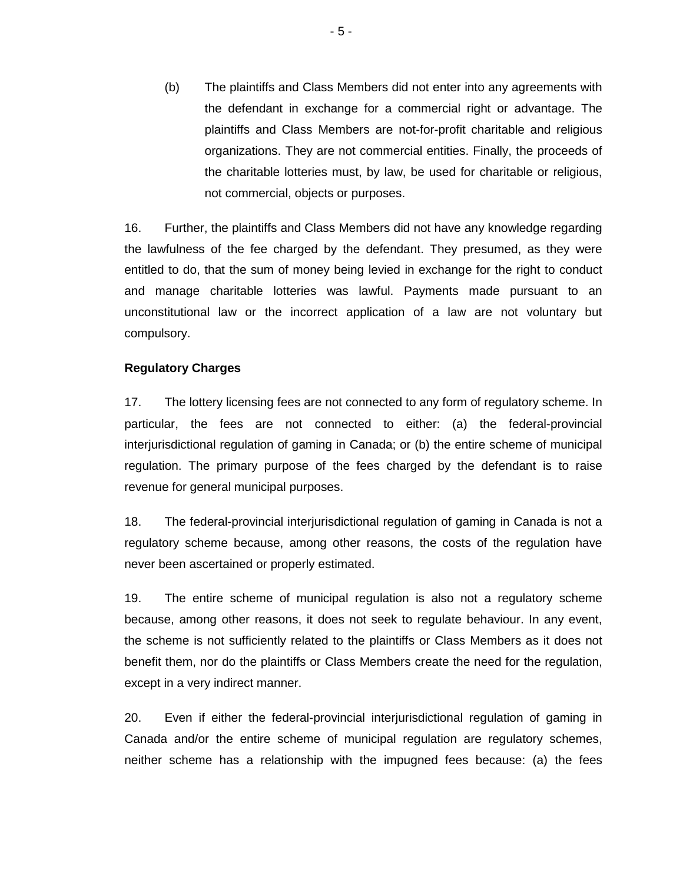(b) The plaintiffs and Class Members did not enter into any agreements with the defendant in exchange for a commercial right or advantage. The plaintiffs and Class Members are not-for-profit charitable and religious organizations. They are not commercial entities. Finally, the proceeds of the charitable lotteries must, by law, be used for charitable or religious, not commercial, objects or purposes.

16. Further, the plaintiffs and Class Members did not have any knowledge regarding the lawfulness of the fee charged by the defendant. They presumed, as they were entitled to do, that the sum of money being levied in exchange for the right to conduct and manage charitable lotteries was lawful. Payments made pursuant to an unconstitutional law or the incorrect application of a law are not voluntary but compulsory.

## **Regulatory Charges**

17. The lottery licensing fees are not connected to any form of regulatory scheme. In particular, the fees are not connected to either: (a) the federal-provincial interjurisdictional regulation of gaming in Canada; or (b) the entire scheme of municipal regulation. The primary purpose of the fees charged by the defendant is to raise revenue for general municipal purposes.

18. The federal-provincial interjurisdictional regulation of gaming in Canada is not a regulatory scheme because, among other reasons, the costs of the regulation have never been ascertained or properly estimated.

19. The entire scheme of municipal regulation is also not a regulatory scheme because, among other reasons, it does not seek to regulate behaviour. In any event, the scheme is not sufficiently related to the plaintiffs or Class Members as it does not benefit them, nor do the plaintiffs or Class Members create the need for the regulation, except in a very indirect manner.

20. Even if either the federal-provincial interjurisdictional regulation of gaming in Canada and/or the entire scheme of municipal regulation are regulatory schemes, neither scheme has a relationship with the impugned fees because: (a) the fees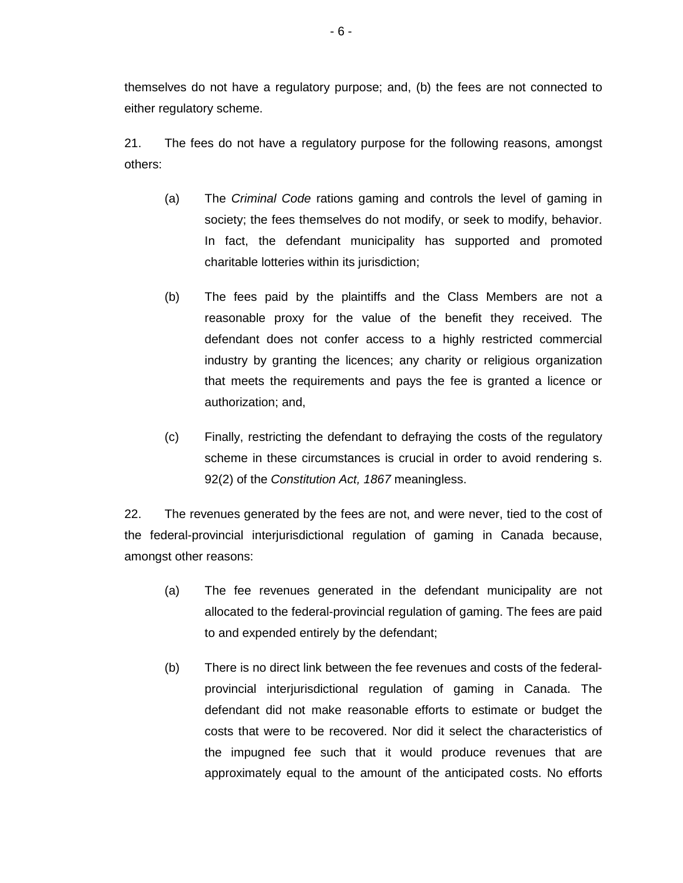themselves do not have a regulatory purpose; and, (b) the fees are not connected to either regulatory scheme.

21. The fees do not have a regulatory purpose for the following reasons, amongst others:

- (a) The *Criminal Code* rations gaming and controls the level of gaming in society; the fees themselves do not modify, or seek to modify, behavior. In fact, the defendant municipality has supported and promoted charitable lotteries within its jurisdiction;
- (b) The fees paid by the plaintiffs and the Class Members are not a reasonable proxy for the value of the benefit they received. The defendant does not confer access to a highly restricted commercial industry by granting the licences; any charity or religious organization that meets the requirements and pays the fee is granted a licence or authorization; and,
- (c) Finally, restricting the defendant to defraying the costs of the regulatory scheme in these circumstances is crucial in order to avoid rendering s. 92(2) of the *Constitution Act, 1867* meaningless.

22. The revenues generated by the fees are not, and were never, tied to the cost of the federal-provincial interjurisdictional regulation of gaming in Canada because, amongst other reasons:

- (a) The fee revenues generated in the defendant municipality are not allocated to the federal-provincial regulation of gaming. The fees are paid to and expended entirely by the defendant;
- (b) There is no direct link between the fee revenues and costs of the federalprovincial interjurisdictional regulation of gaming in Canada. The defendant did not make reasonable efforts to estimate or budget the costs that were to be recovered. Nor did it select the characteristics of the impugned fee such that it would produce revenues that are approximately equal to the amount of the anticipated costs. No efforts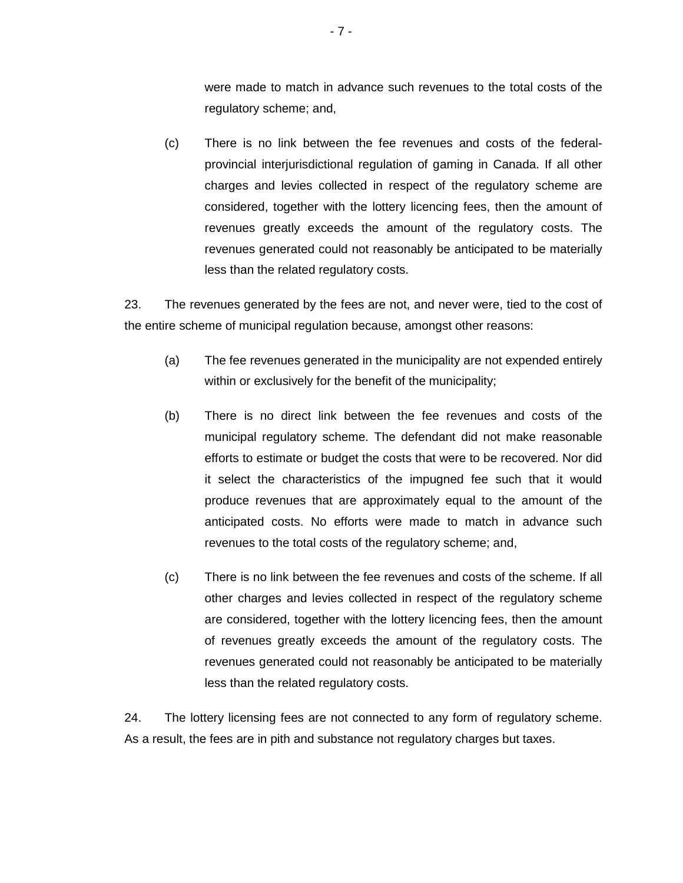were made to match in advance such revenues to the total costs of the regulatory scheme; and,

(c) There is no link between the fee revenues and costs of the federalprovincial interjurisdictional regulation of gaming in Canada. If all other charges and levies collected in respect of the regulatory scheme are considered, together with the lottery licencing fees, then the amount of revenues greatly exceeds the amount of the regulatory costs. The revenues generated could not reasonably be anticipated to be materially less than the related regulatory costs.

23. The revenues generated by the fees are not, and never were, tied to the cost of the entire scheme of municipal regulation because, amongst other reasons:

- (a) The fee revenues generated in the municipality are not expended entirely within or exclusively for the benefit of the municipality;
- (b) There is no direct link between the fee revenues and costs of the municipal regulatory scheme. The defendant did not make reasonable efforts to estimate or budget the costs that were to be recovered. Nor did it select the characteristics of the impugned fee such that it would produce revenues that are approximately equal to the amount of the anticipated costs. No efforts were made to match in advance such revenues to the total costs of the regulatory scheme; and,
- (c) There is no link between the fee revenues and costs of the scheme. If all other charges and levies collected in respect of the regulatory scheme are considered, together with the lottery licencing fees, then the amount of revenues greatly exceeds the amount of the regulatory costs. The revenues generated could not reasonably be anticipated to be materially less than the related regulatory costs.

24. The lottery licensing fees are not connected to any form of regulatory scheme. As a result, the fees are in pith and substance not regulatory charges but taxes.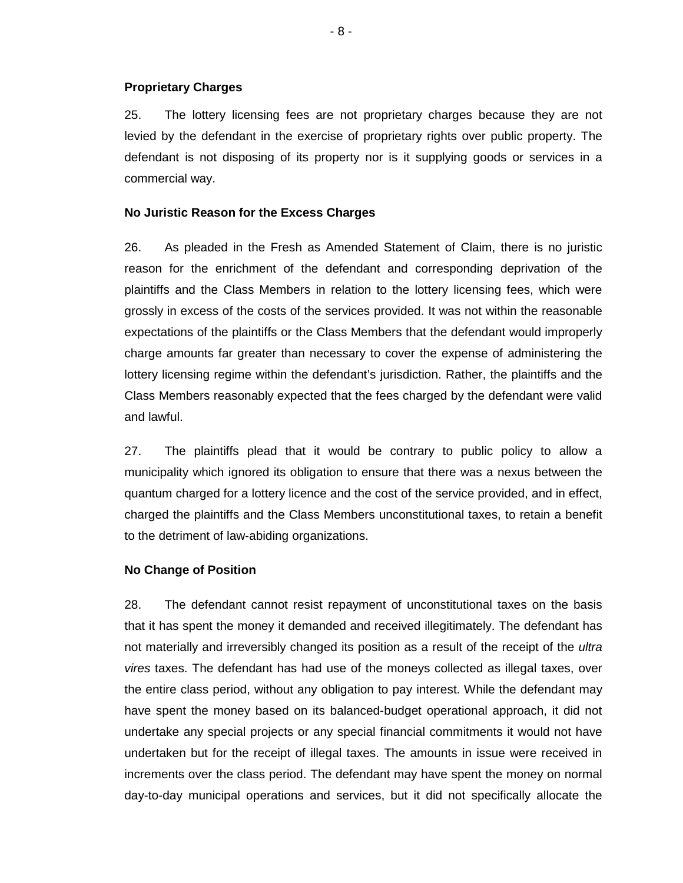## **Proprietary Charges**

25. The lottery licensing fees are not proprietary charges because they are not levied by the defendant in the exercise of proprietary rights over public property. The defendant is not disposing of its property nor is it supplying goods or services in a commercial way.

## **No Juristic Reason for the Excess Charges**

26. As pleaded in the Fresh as Amended Statement of Claim, there is no juristic reason for the enrichment of the defendant and corresponding deprivation of the plaintiffs and the Class Members in relation to the lottery licensing fees, which were grossly in excess of the costs of the services provided. It was not within the reasonable expectations of the plaintiffs or the Class Members that the defendant would improperly charge amounts far greater than necessary to cover the expense of administering the lottery licensing regime within the defendant's jurisdiction. Rather, the plaintiffs and the Class Members reasonably expected that the fees charged by the defendant were valid and lawful.

27. The plaintiffs plead that it would be contrary to public policy to allow a municipality which ignored its obligation to ensure that there was a nexus between the quantum charged for a lottery licence and the cost of the service provided, and in effect, charged the plaintiffs and the Class Members unconstitutional taxes, to retain a benefit to the detriment of law-abiding organizations.

### **No Change of Position**

28. The defendant cannot resist repayment of unconstitutional taxes on the basis that it has spent the money it demanded and received illegitimately. The defendant has not materially and irreversibly changed its position as a result of the receipt of the *ultra vires* taxes. The defendant has had use of the moneys collected as illegal taxes, over the entire class period, without any obligation to pay interest. While the defendant may have spent the money based on its balanced-budget operational approach, it did not undertake any special projects or any special financial commitments it would not have undertaken but for the receipt of illegal taxes. The amounts in issue were received in increments over the class period. The defendant may have spent the money on normal day-to-day municipal operations and services, but it did not specifically allocate the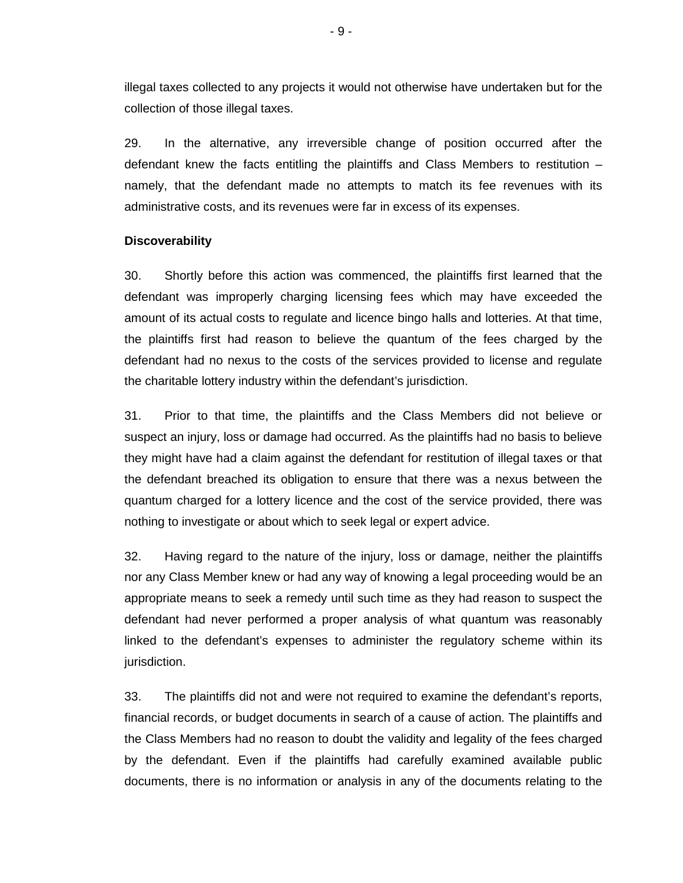illegal taxes collected to any projects it would not otherwise have undertaken but for the collection of those illegal taxes.

29. In the alternative, any irreversible change of position occurred after the defendant knew the facts entitling the plaintiffs and Class Members to restitution – namely, that the defendant made no attempts to match its fee revenues with its administrative costs, and its revenues were far in excess of its expenses.

#### **Discoverability**

30. Shortly before this action was commenced, the plaintiffs first learned that the defendant was improperly charging licensing fees which may have exceeded the amount of its actual costs to regulate and licence bingo halls and lotteries. At that time, the plaintiffs first had reason to believe the quantum of the fees charged by the defendant had no nexus to the costs of the services provided to license and regulate the charitable lottery industry within the defendant's jurisdiction.

31. Prior to that time, the plaintiffs and the Class Members did not believe or suspect an injury, loss or damage had occurred. As the plaintiffs had no basis to believe they might have had a claim against the defendant for restitution of illegal taxes or that the defendant breached its obligation to ensure that there was a nexus between the quantum charged for a lottery licence and the cost of the service provided, there was nothing to investigate or about which to seek legal or expert advice.

32. Having regard to the nature of the injury, loss or damage, neither the plaintiffs nor any Class Member knew or had any way of knowing a legal proceeding would be an appropriate means to seek a remedy until such time as they had reason to suspect the defendant had never performed a proper analysis of what quantum was reasonably linked to the defendant's expenses to administer the regulatory scheme within its jurisdiction.

33. The plaintiffs did not and were not required to examine the defendant's reports, financial records, or budget documents in search of a cause of action. The plaintiffs and the Class Members had no reason to doubt the validity and legality of the fees charged by the defendant. Even if the plaintiffs had carefully examined available public documents, there is no information or analysis in any of the documents relating to the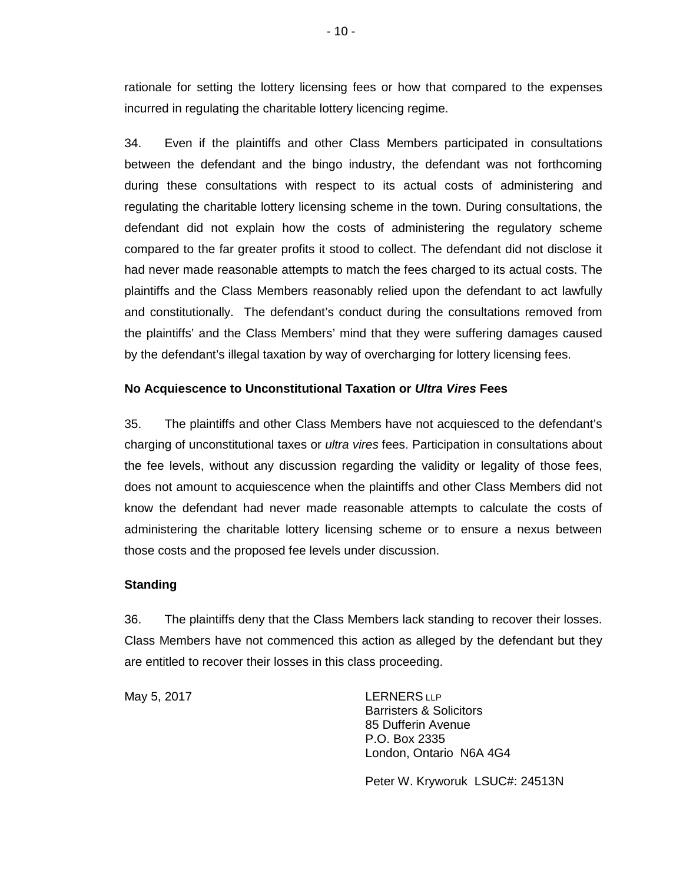rationale for setting the lottery licensing fees or how that compared to the expenses incurred in regulating the charitable lottery licencing regime.

34. Even if the plaintiffs and other Class Members participated in consultations between the defendant and the bingo industry, the defendant was not forthcoming during these consultations with respect to its actual costs of administering and regulating the charitable lottery licensing scheme in the town. During consultations, the defendant did not explain how the costs of administering the regulatory scheme compared to the far greater profits it stood to collect. The defendant did not disclose it had never made reasonable attempts to match the fees charged to its actual costs. The plaintiffs and the Class Members reasonably relied upon the defendant to act lawfully and constitutionally. The defendant's conduct during the consultations removed from the plaintiffs' and the Class Members' mind that they were suffering damages caused by the defendant's illegal taxation by way of overcharging for lottery licensing fees.

## **No Acquiescence to Unconstitutional Taxation or** *Ultra Vires* **Fees**

35. The plaintiffs and other Class Members have not acquiesced to the defendant's charging of unconstitutional taxes or *ultra vires* fees. Participation in consultations about the fee levels, without any discussion regarding the validity or legality of those fees, does not amount to acquiescence when the plaintiffs and other Class Members did not know the defendant had never made reasonable attempts to calculate the costs of administering the charitable lottery licensing scheme or to ensure a nexus between those costs and the proposed fee levels under discussion.

### **Standing**

36. The plaintiffs deny that the Class Members lack standing to recover their losses. Class Members have not commenced this action as alleged by the defendant but they are entitled to recover their losses in this class proceeding.

May 5, 2017 **LERNERS** LLP

Barristers & Solicitors 85 Dufferin Avenue P.O. Box 2335 London, Ontario N6A 4G4

Peter W. Kryworuk LSUC#: 24513N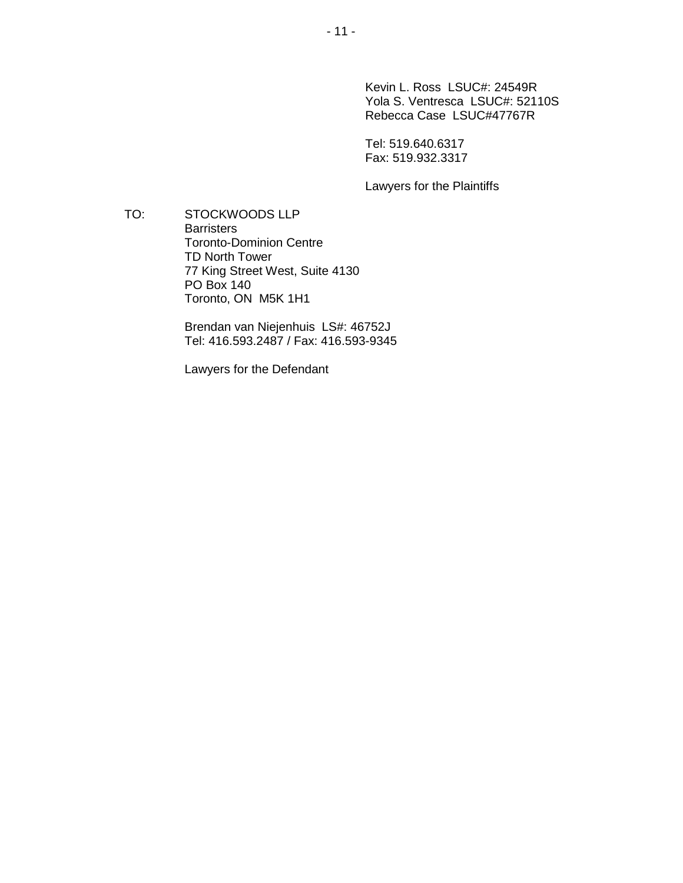Kevin L. Ross LSUC#: 24549R Yola S. Ventresca LSUC#: 52110S Rebecca Case LSUC#47767R

Tel: 519.640.6317 Fax: 519.932.3317

Lawyers for the Plaintiffs

TO: STOCKWOODS LLP **Barristers** Toronto-Dominion Centre TD North Tower 77 King Street West, Suite 4130 PO Box 140 Toronto, ON M5K 1H1

> Brendan van Niejenhuis LS#: 46752J Tel: 416.593.2487 / Fax: 416.593-9345

Lawyers for the Defendant